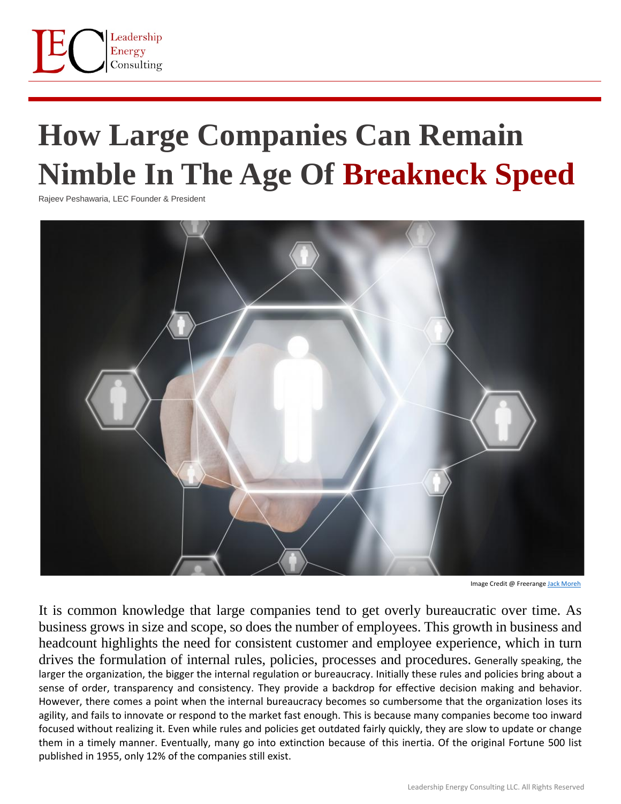

## **How Large Companies Can Remain Nimble In The Age Of Breakneck Speed**

Rajeev Peshawaria, LEC Founder & President



Image Credit @ Freerange [Jack Moreh](https://freerangestock.com/photos/120764/human-resources-management--concept.html)

It is common knowledge that large companies tend to get overly bureaucratic over time. As business grows in size and scope, so does the number of employees. This growth in business and headcount highlights the need for consistent customer and employee experience, which in turn drives the formulation of internal rules, policies, processes and procedures. Generally speaking, the larger the organization, the bigger the internal regulation or bureaucracy. Initially these rules and policies bring about a sense of order, transparency and consistency. They provide a backdrop for effective decision making and behavior. However, there comes a point when the internal bureaucracy becomes so cumbersome that the organization loses its agility, and fails to innovate or respond to the market fast enough. This is because many companies become too inward focused without realizing it. Even while rules and policies get outdated fairly quickly, they are slow to update or change them in a timely manner. Eventually, many go into extinction because of this inertia. Of the original Fortune 500 list published in 1955, only 12% of the companies still exist.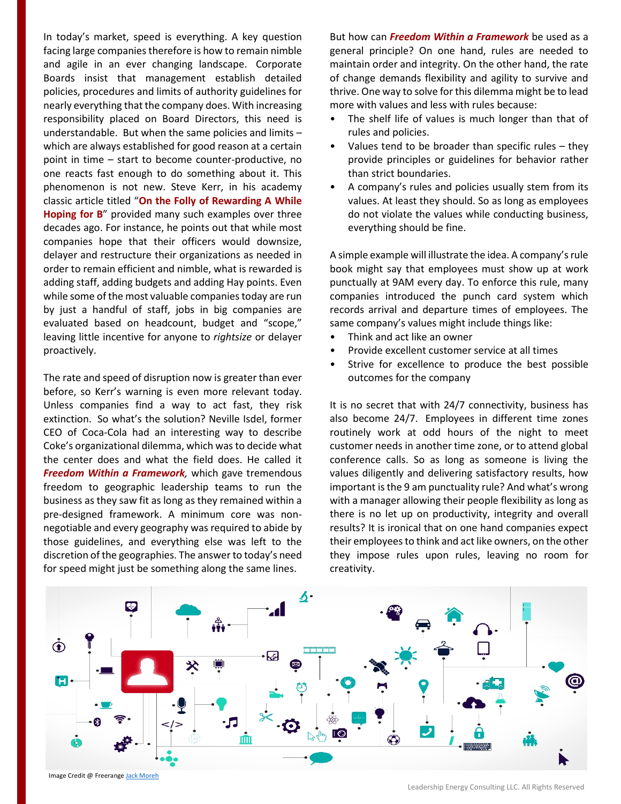In today's market, speed is everything. A key question facing large companies therefore is how to remain nimble and agile in an ever changing landscape. Corporate Boards insist that management establish detailed policies, procedures and limits of authority guidelines for nearly everything that the company does. With increasing responsibility placed on Board Directors, this need is understandable. But when the same policies and limits – which are always established for good reason at a certain point in time – start to become counter-productive, no one reacts fast enough to do something about it. This phenomenon is not new. Steve Kerr, in his academy classic article titled "**On the Folly of Rewarding A While Hoping for B**" provided many such examples over three decades ago. For instance, he points out that while most companies hope that their officers would downsize, delayer and restructure their organizations as needed in order to remain efficient and nimble, what is rewarded is adding staff, adding budgets and adding Hay points. Even while some of the most valuable companies today are run by just a handful of staff, jobs in big companies are evaluated based on headcount, budget and "scope," leaving little incentive for anyone to *rightsize* or delayer proactively.

The rate and speed of disruption now is greater than ever before, so Kerr's warning is even more relevant today. Unless companies find a way to act fast, they risk extinction. So what's the solution? Neville Isdel, former CEO of Coca-Cola had an interesting way to describe Coke's organizational dilemma, which was to decide what the center does and what the field does. He called it *Freedom Within a Framework,* which gave tremendous freedom to geographic leadership teams to run the business as they saw fit as long as they remained within a pre-designed framework. A minimum core was nonnegotiable and every geography was required to abide by those guidelines, and everything else was left to the discretion of the geographies. The answer to today's need for speed might just be something along the same lines.

But how can *Freedom Within a Framework* be used as a general principle? On one hand, rules are needed to maintain order and integrity. On the other hand, the rate of change demands flexibility and agility to survive and thrive. One way to solve for this dilemma might be to lead more with values and less with rules because:

- The shelf life of values is much longer than that of rules and policies.
- Values tend to be broader than specific rules  $-$  they provide principles or guidelines for behavior rather than strict boundaries.
- A company's rules and policies usually stem from its values. At least they should. So as long as employees do not violate the values while conducting business, everything should be fine.

A simple example will illustrate the idea. A company's rule book might say that employees must show up at work punctually at 9AM every day. To enforce this rule, many companies introduced the punch card system which records arrival and departure times of employees. The same company's values might include things like:

- Think and act like an owner
- Provide excellent customer service at all times
- Strive for excellence to produce the best possible outcomes for the company

It is no secret that with 24/7 connectivity, business has also become 24/7. Employees in different time zones routinely work at odd hours of the night to meet customer needs in another time zone, or to attend global conference calls. So as long as someone is living the values diligently and delivering satisfactory results, how important is the 9 am punctuality rule? And what's wrong with a manager allowing their people flexibility as long as there is no let up on productivity, integrity and overall results? It is ironical that on one hand companies expect their employees to think and act like owners, on the other they impose rules upon rules, leaving no room for creativity.



Image Credit @ Freerange Jack [Moreh](https://freerangestock.com/photos/48626/internet-of-things-concept.html)